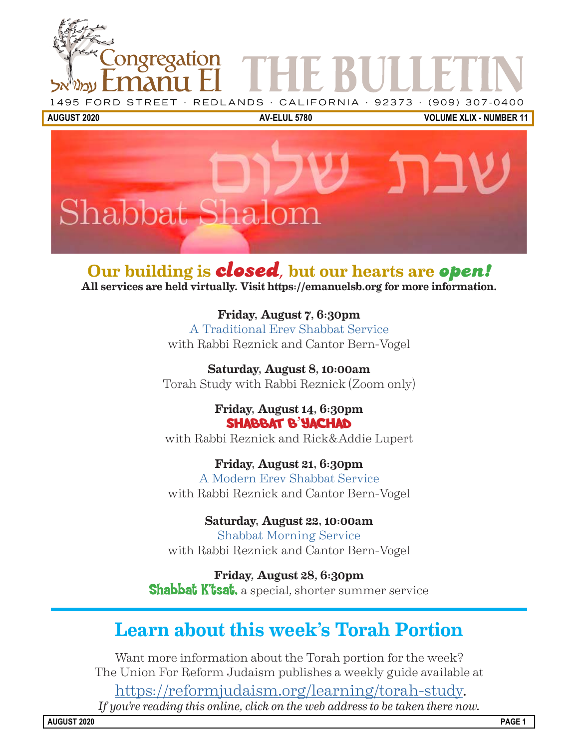



Our building is **closed**, but our hearts are **open!** All services are held virtually. Visit https://emanuelsb.org for more information.

> Friday, August 7, 6:30pm A Traditional Erev Shabbat Service with Rabbi Reznick and Cantor Bern-Vogel

Saturday, August 8, 10:00am Torah Study with Rabbi Reznick (Zoom only)

> Friday, August 14, 6:30pm Shabbat B'Yachad

with Rabbi Reznick and Rick&Addie Lupert

Friday, August 21, 6:30pm A Modern Erev Shabbat Service with Rabbi Reznick and Cantor Bern-Vogel

Saturday, August 22, 10:00am Shabbat Morning Service with Rabbi Reznick and Cantor Bern-Vogel

Friday, August 28, 6:30pm **Shabbat K'tsat,** a special, shorter summer service

## Learn about this week's Torah Portion

Want more information about the Torah portion for the week? The Union For Reform Judaism publishes a weekly guide available at

[https://reformjudaism.org/learning/torah-study.](https://reformjudaism.org/learning/torah-study) *If you're reading this online, click on the web address to be taken there now.*

AUGUST 2020 PAGE 1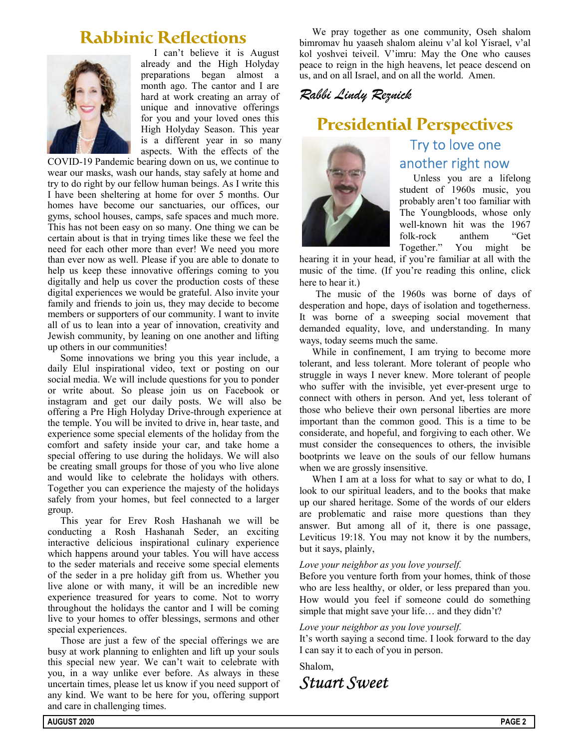## **Rabbinic Reflections**



I can't believe it is August already and the High Holyday preparations began almost a month ago. The cantor and I are hard at work creating an array of unique and innovative offerings for you and your loved ones this High Holyday Season. This year is a different year in so many aspects. With the effects of the

COVID-19 Pandemic bearing down on us, we continue to wear our masks, wash our hands, stay safely at home and try to do right by our fellow human beings. As I write this I have been sheltering at home for over 5 months. Our homes have become our sanctuaries, our offices, our gyms, school houses, camps, safe spaces and much more. This has not been easy on so many. One thing we can be certain about is that in trying times like these we feel the need for each other more than ever! We need you more than ever now as well. Please if you are able to donate to help us keep these innovative offerings coming to you digitally and help us cover the production costs of these digital experiences we would be grateful. Also invite your family and friends to join us, they may decide to become members or supporters of our community. I want to invite all of us to lean into a year of innovation, creativity and Jewish community, by leaning on one another and lifting up others in our communities!

Some innovations we bring you this year include, a daily Elul inspirational video, text or posting on our social media. We will include questions for you to ponder or write about. So please join us on Facebook or instagram and get our daily posts. We will also be offering a Pre High Holyday Drive-through experience at the temple. You will be invited to drive in, hear taste, and experience some special elements of the holiday from the comfort and safety inside your car, and take home a special offering to use during the holidays. We will also be creating small groups for those of you who live alone and would like to celebrate the holidays with others. Together you can experience the majesty of the holidays safely from your homes, but feel connected to a larger group.

This year for Erev Rosh Hashanah we will be conducting a Rosh Hashanah Seder, an exciting interactive delicious inspirational culinary experience which happens around your tables. You will have access to the seder materials and receive some special elements of the seder in a pre holiday gift from us. Whether you live alone or with many, it will be an incredible new experience treasured for years to come. Not to worry throughout the holidays the cantor and I will be coming live to your homes to offer blessings, sermons and other special experiences.

Those are just a few of the special offerings we are busy at work planning to enlighten and lift up your souls this special new year. We can't wait to celebrate with you, in a way unlike ever before. As always in these uncertain times, please let us know if you need support of any kind. We want to be here for you, offering support and care in challenging times.

We pray together as one community, Oseh shalom bimromav hu yaaseh shalom aleinu v'al kol Yisrael, v'al kol yoshvei teiveil. V'imru: May the One who causes peace to reign in the high heavens, let peace descend on us, and on all Israel, and on all the world. Amen.

Rabbi Lindy Reznick

## **Presidential Perspectives**



## Try to love one another right now

Unless you are a lifelong student of 1960s music, you probably aren't too familiar with The Youngbloods, whose only well-known hit was the 1967 folk-rock anthem "Get Together." You might be

hearing it in your head, if you're familiar at all with the music of the time. (If you're reading this online, click here to hear it.)

The music of the 1960s was borne of days of desperation and hope, days of isolation and togetherness. It was borne of a sweeping social movement that demanded equality, love, and understanding. In many ways, today seems much the same.

While in confinement, I am trying to become more tolerant, and less tolerant. More tolerant of people who struggle in ways I never knew. More tolerant of people who suffer with the invisible, yet ever-present urge to connect with others in person. And yet, less tolerant of those who believe their own personal liberties are more important than the common good. This is a time to be considerate, and hopeful, and forgiving to each other. We must consider the consequences to others, the invisible bootprints we leave on the souls of our fellow humans when we are grossly insensitive.

When I am at a loss for what to say or what to do, I look to our spiritual leaders, and to the books that make up our shared heritage. Some of the words of our elders are problematic and raise more questions than they answer. But among all of it, there is one passage, Leviticus 19:18. You may not know it by the numbers, but it says, plainly,

#### Love your neighbor as you love yourself.

Before you venture forth from your homes, think of those who are less healthy, or older, or less prepared than you. How would you feel if someone could do something simple that might save your life... and they didn't?

#### Love your neighbor as you love yourself.

[It's worth saying a second time. I look forward to the day](https://youtu.be/w_inXx-J3nU) I can say it to each of you in person.

Shalom,

Stuart Sweet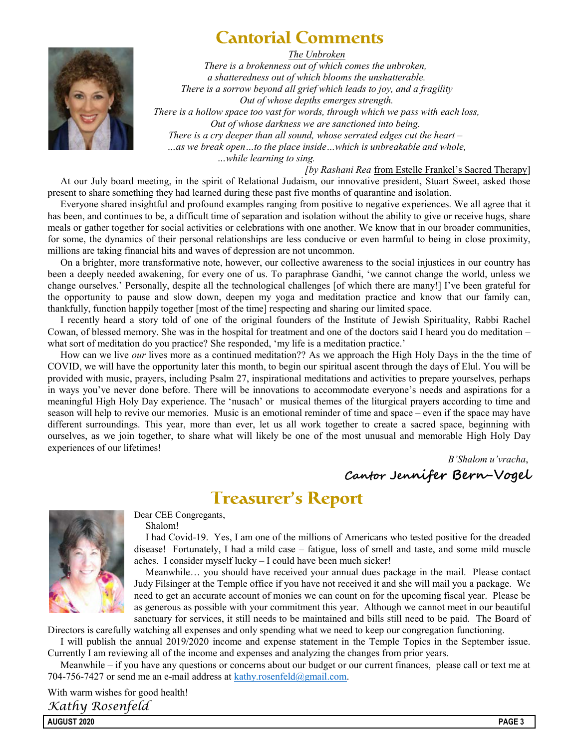## **Cantorial Comments**



The Unbroken

There is a brokenness out of which comes the unbroken, a shatteredness out of which blooms the unshatterable. There is a sorrow beyond all grief which leads to joy, and a fragility Out of whose depths emerges strength. There is a hollow space too vast for words, through which we pass with each loss, Out of whose darkness we are sanctioned into being. There is a cry deeper than all sound, whose serrated edges cut the heart  $-$ …as we break open…to the place inside…which is unbreakable and whole,

…while learning to sing.

[by Rashani Rea from Estelle Frankel's Sacred Therapy]

At our July board meeting, in the spirit of Relational Judaism, our innovative president, Stuart Sweet, asked those present to share something they had learned during these past five months of quarantine and isolation.

Everyone shared insightful and profound examples ranging from positive to negative experiences. We all agree that it has been, and continues to be, a difficult time of separation and isolation without the ability to give or receive hugs, share meals or gather together for social activities or celebrations with one another. We know that in our broader communities, for some, the dynamics of their personal relationships are less conducive or even harmful to being in close proximity, millions are taking financial hits and waves of depression are not uncommon.

On a brighter, more transformative note, however, our collective awareness to the social injustices in our country has been a deeply needed awakening, for every one of us. To paraphrase Gandhi, 'we cannot change the world, unless we change ourselves.' Personally, despite all the technological challenges [of which there are many!] I've been grateful for the opportunity to pause and slow down, deepen my yoga and meditation practice and know that our family can, thankfully, function happily together [most of the time] respecting and sharing our limited space.

I recently heard a story told of one of the original founders of the Institute of Jewish Spirituality, Rabbi Rachel Cowan, of blessed memory. She was in the hospital for treatment and one of the doctors said I heard you do meditation – what sort of meditation do you practice? She responded, 'my life is a meditation practice.'

How can we live our lives more as a continued meditation?? As we approach the High Holy Days in the the time of COVID, we will have the opportunity later this month, to begin our spiritual ascent through the days of Elul. You will be provided with music, prayers, including Psalm 27, inspirational meditations and activities to prepare yourselves, perhaps in ways you've never done before. There will be innovations to accommodate everyone's needs and aspirations for a meaningful High Holy Day experience. The 'nusach' or musical themes of the liturgical prayers according to time and season will help to revive our memories. Music is an emotional reminder of time and space – even if the space may have different surroundings. This year, more than ever, let us all work together to create a sacred space, beginning with ourselves, as we join together, to share what will likely be one of the most unusual and memorable High Holy Day experiences of our lifetimes!

> B'Shalom u'vracha, Cantor Jennifer Bern-Vogel

## **Treasurer's Report**



Dear CEE Congregants, Shalom!

I had Covid-19. Yes, I am one of the millions of Americans who tested positive for the dreaded disease! Fortunately, I had a mild case – fatigue, loss of smell and taste, and some mild muscle aches. I consider myself lucky – I could have been much sicker!

Meanwhile… you should have received your annual dues package in the mail. Please contact Judy Filsinger at the Temple office if you have not received it and she will mail you a package. We need to get an accurate account of monies we can count on for the upcoming fiscal year. Please be as generous as possible with your commitment this year. Although we cannot meet in our beautiful sanctuary for services, it still needs to be maintained and bills still need to be paid. The Board of

Directors is carefully watching all expenses and only spending what we need to keep our congregation functioning.

I will publish the annual 2019/2020 income and expense statement in the Temple Topics in the September issue. Currently I am reviewing all of the income and expenses and analyzing the changes from prior years.

Meanwhile – if you have any questions or concerns about our budget or our current finances, please call or text me at 704-756-7427 or send me an e-mail address at kathy.rosenfeld@gmail.com.

With warm wishes for good health! Kathy Rosenfeld

AUGUST 2020 PAGE 3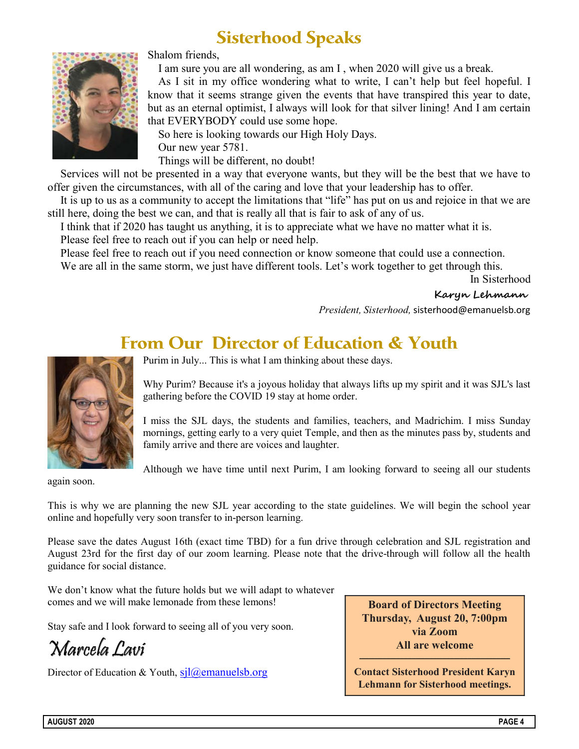## **Sisterhood Speaks**



Shalom friends,

I am sure you are all wondering, as am I , when 2020 will give us a break.

As I sit in my office wondering what to write, I can't help but feel hopeful. I know that it seems strange given the events that have transpired this year to date, but as an eternal optimist, I always will look for that silver lining! And I am certain that EVERYBODY could use some hope.

So here is looking towards our High Holy Days. Our new year 5781. Things will be different, no doubt!

Services will not be presented in a way that everyone wants, but they will be the best that we have to offer given the circumstances, with all of the caring and love that your leadership has to offer.

It is up to us as a community to accept the limitations that "life" has put on us and rejoice in that we are still here, doing the best we can, and that is really all that is fair to ask of any of us.

I think that if 2020 has taught us anything, it is to appreciate what we have no matter what it is. Please feel free to reach out if you can help or need help.

Please feel free to reach out if you need connection or know someone that could use a connection. We are all in the same storm, we just have different tools. Let's work together to get through this.

In Sisterhood

Karyn Lehmann

President, Sisterhood, sisterhood@emanuelsb.org

## **From Our Director of Education & Youth**



Purim in July... This is what I am thinking about these days.

Why Purim? Because it's a joyous holiday that always lifts up my spirit and it was SJL's last gathering before the COVID 19 stay at home order.

I miss the SJL days, the students and families, teachers, and Madrichim. I miss Sunday mornings, getting early to a very quiet Temple, and then as the minutes pass by, students and family arrive and there are voices and laughter.

Although we have time until next Purim, I am looking forward to seeing all our students

again soon.

This is why we are planning the new SJL year according to the state guidelines. We will begin the school year online and hopefully very soon transfer to in-person learning.

Please save the dates August 16th (exact time TBD) for a fun drive through celebration and SJL registration and August 23rd for the first day of our zoom learning. Please note that the drive-through will follow all the health guidance for social distance.

We don't know what the future holds but we will adapt to whatever comes and we will make lemonade from these lemons!

Stay safe and I look forward to seeing all of you very soon.

Marcela Lavi

Director of Education & Youth,  $si\rightarrow\alpha$ emanuelsb.org

**Board of Directors Meeting Thursday, August 20, 7:00pm via Zoom All are welcome**

**Contact Sisterhood President Karyn Lehmann for Sisterhood meetings.**

 $\mathcal{L}_\mathcal{L}$  , and the set of the set of the set of the set of the set of the set of the set of the set of the set of the set of the set of the set of the set of the set of the set of the set of the set of the set of th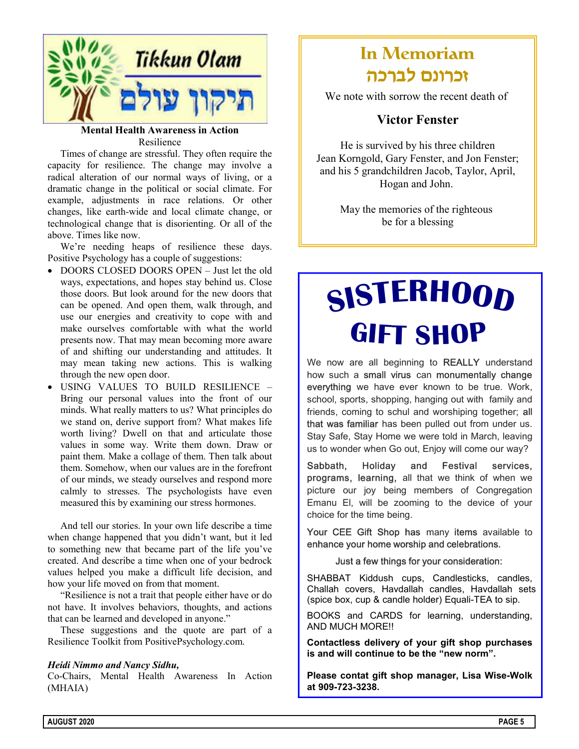

#### Mental Health Awareness in Action Resilience

Times of change are stressful. They often require the capacity for resilience. The change may involve a radical alteration of our normal ways of living, or a dramatic change in the political or social climate. For example, adjustments in race relations. Or other changes, like earth-wide and local climate change, or technological change that is disorienting. Or all of the above. Times like now.

We're needing heaps of resilience these days. Positive Psychology has a couple of suggestions:

- DOORS CLOSED DOORS OPEN Just let the old ways, expectations, and hopes stay behind us. Close those doors. But look around for the new doors that can be opened. And open them, walk through, and use our energies and creativity to cope with and make ourselves comfortable with what the world presents now. That may mean becoming more aware of and shifting our understanding and attitudes. It may mean taking new actions. This is walking through the new open door.
- USING VALUES TO BUILD RESILIENCE Bring our personal values into the front of our minds. What really matters to us? What principles do we stand on, derive support from? What makes life worth living? Dwell on that and articulate those values in some way. Write them down. Draw or paint them. Make a collage of them. Then talk about them. Somehow, when our values are in the forefront of our minds, we steady ourselves and respond more calmly to stresses. The psychologists have even measured this by examining our stress hormones.

And tell our stories. In your own life describe a time when change happened that you didn't want, but it led to something new that became part of the life you've created. And describe a time when one of your bedrock values helped you make a difficult life decision, and how your life moved on from that moment.

"Resilience is not a trait that people either have or do not have. It involves behaviors, thoughts, and actions that can be learned and developed in anyone."

These suggestions and the quote are part of a Resilience Toolkit from PositivePsychology.com.

#### Heidi Nimmo and Nancy Sidhu,

Co-Chairs, Mental Health Awareness In Action (MHAIA)

## In Memoriam זכרונם לברכה

We note with sorrow the recent death of

#### Victor Fenster

He is survived by his three children Jean Korngold, Gary Fenster, and Jon Fenster; and his 5 grandchildren Jacob, Taylor, April, Hogan and John.

> May the memories of the righteous be for a blessing

# SISTERHOOD GIFT SHOP

We now are all beginning to REALLY understand how such a small virus can monumentally change everything we have ever known to be true. Work, school, sports, shopping, hanging out with family and friends, coming to schul and worshiping together; all that was familiar has been pulled out from under us. Stay Safe, Stay Home we were told in March, leaving us to wonder when Go out, Enjoy will come our way?

Sabbath, Holiday and Festival services, programs, learning, all that we think of when we picture our joy being members of Congregation Emanu El, will be zooming to the device of your choice for the time being.

Your CEE Gift Shop has many items available to enhance your home worship and celebrations.

#### Just a few things for your consideration:

SHABBAT Kiddush cups, Candlesticks, candles, Challah covers, Havdallah candles, Havdallah sets (spice box, cup & candle holder) Equali-TEA to sip.

BOOKS and CARDS for learning, understanding, AND MUCH MORE!!

Contactless delivery of your gift shop purchases is and will continue to be the "new norm".

Please contat gift shop manager, Lisa Wise-Wolk at 909-723-3238.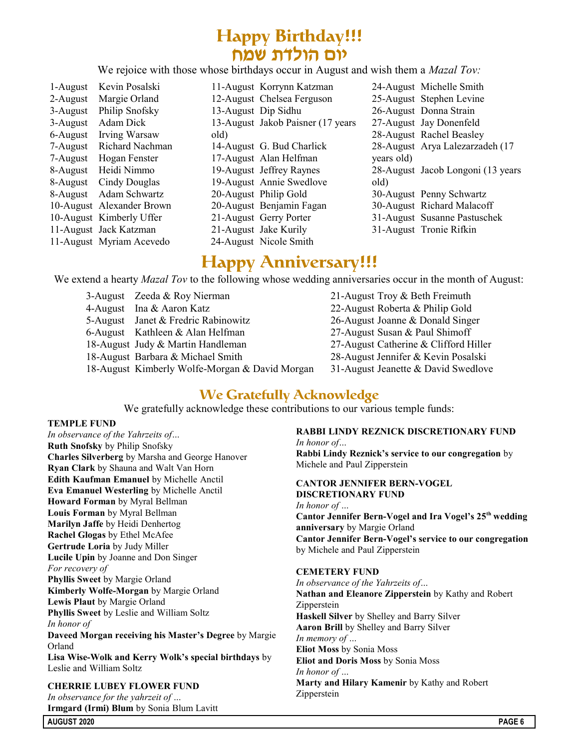## **Happy Birthday!!!** יום הולדת שמח

We rejoice with those whose birthdays occur in August and wish them a Mazal Tov:

|          | 1-August Kevin Posalski   |      | 11-August Korrynn Katzman          |            | 24-August Michelle Smith           |
|----------|---------------------------|------|------------------------------------|------------|------------------------------------|
| 2-August | Margie Orland             |      | 12-August Chelsea Ferguson         |            | 25-August Stephen Levine           |
| 3-August | Philip Snofsky            |      | 13-August Dip Sidhu                |            | 26-August Donna Strain             |
| 3-August | Adam Dick                 |      | 13-August Jakob Paisner (17 years) |            | 27-August Jay Donenfeld            |
| 6-August | Irving Warsaw             | old) |                                    |            | 28-August Rachel Beasley           |
| 7-August | Richard Nachman           |      | 14-August G. Bud Charlick          |            | 28-August Arya Lalezarzadeh (17    |
|          | 7-August Hogan Fenster    |      | 17-August Alan Helfman             | years old) |                                    |
|          | 8-August Heidi Nimmo      |      | 19-August Jeffrey Raynes           |            | 28-August Jacob Longoni (13 years) |
| 8-August | Cindy Douglas             |      | 19-August Annie Swedlove           | old)       |                                    |
|          | 8-August Adam Schwartz    |      | 20-August Philip Gold              |            | 30-August Penny Schwartz           |
|          | 10-August Alexander Brown |      | 20-August Benjamin Fagan           |            | 30-August Richard Malacoff         |
|          | 10-August Kimberly Uffer  |      | 21-August Gerry Porter             |            | 31-August Susanne Pastuschek       |
|          | 11-August Jack Katzman    |      | 21-August Jake Kurily              |            | 31-August Tronie Rifkin            |
|          | 11-August Myriam Acevedo  |      | 24-August Nicole Smith             |            |                                    |

## **Happy Anniversary!!!**

We extend a hearty *Mazal Tov* to the following whose wedding anniversaries occur in the month of August:

| 3-August Zeeda & Roy Nierman                   | 21-August Troy & Beth Freimuth        |
|------------------------------------------------|---------------------------------------|
| 4-August Ina & Aaron Katz                      | 22-August Roberta & Philip Gold       |
| 5-August Janet & Fredric Rabinowitz            | 26-August Joanne & Donald Singer      |
| 6-August Kathleen & Alan Helfman               | 27-August Susan & Paul Shimoff        |
| 18-August Judy & Martin Handleman              | 27-August Catherine & Clifford Hiller |
| 18-August Barbara & Michael Smith              | 28-August Jennifer & Kevin Posalski   |
| 18-August Kimberly Wolfe-Morgan & David Morgan | 31-August Jeanette & David Swedlove   |

### **We Gratefully Acknowledge**

We gratefully acknowledge these contributions to our various temple funds:

#### TEMPLE FUND

In observance of the Yahrzeits of… Ruth Snofsky by Philip Snofsky Charles Silverberg by Marsha and George Hanover Ryan Clark by Shauna and Walt Van Horn Edith Kaufman Emanuel by Michelle Anctil Eva Emanuel Westerling by Michelle Anctil Howard Forman by Myral Bellman Louis Forman by Myral Bellman Marilyn Jaffe by Heidi Denhertog Rachel Glogas by Ethel McAfee Gertrude Loria by Judy Miller Lucile Upin by Joanne and Don Singer For recovery of Phyllis Sweet by Margie Orland Kimberly Wolfe-Morgan by Margie Orland Lewis Plaut by Margie Orland Phyllis Sweet by Leslie and William Soltz In honor of Daveed Morgan receiving his Master's Degree by Margie Orland Lisa Wise-Wolk and Kerry Wolk's special birthdays by Leslie and William Soltz CHERRIE LUBEY FLOWER FUND In observance for the yahrzeit of …

Irmgard (Irmi) Blum by Sonia Blum Lavitt

#### RABBI LINDY REZNICK DISCRETIONARY FUND

In honor of… Rabbi Lindy Reznick's service to our congregation by Michele and Paul Zipperstein

CANTOR JENNIFER BERN-VOGEL DISCRETIONARY FUND In honor of … Cantor Jennifer Bern-Vogel and Ira Vogel's 25<sup>th</sup> wedding anniversary by Margie Orland Cantor Jennifer Bern-Vogel's service to our congregation by Michele and Paul Zipperstein

#### CEMETERY FUND

In observance of the Yahrzeits of… Nathan and Eleanore Zipperstein by Kathy and Robert Zipperstein Haskell Silver by Shelley and Barry Silver Aaron Brill by Shelley and Barry Silver In memory of … Eliot Moss by Sonia Moss Eliot and Doris Moss by Sonia Moss In honor of … Marty and Hilary Kamenir by Kathy and Robert Zipperstein

AUGUST 2020 PAGE 6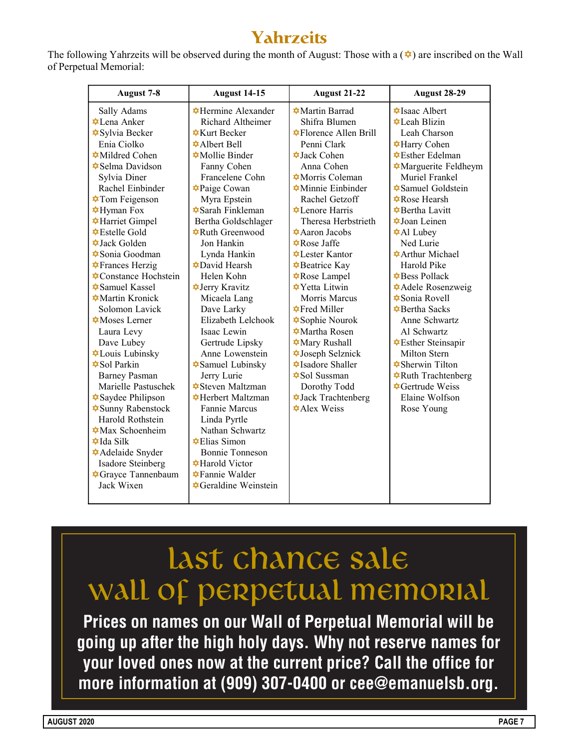## **Yahrzeits**

The following Yahrzeits will be observed during the month of August: Those with a  $(\triangleleft)$  are inscribed on the Wall of Perpetual Memorial:

| August 7-8                                      | <b>August 14-15</b>                              | <b>August 21-22</b>                             | <b>August 28-29</b>                            |
|-------------------------------------------------|--------------------------------------------------|-------------------------------------------------|------------------------------------------------|
| Sally Adams                                     | <b></b> Hermine Alexander                        | <b><math>\triangle</math></b> Martin Barrad     | <b><math>\blacklozenge</math></b> Isaac Albert |
| <b>⊅</b> Lena Anker                             | Richard Altheimer                                | Shifra Blumen                                   | $\star$ Leah Blizin                            |
| <b><math>\triangle</math></b> Sylvia Becker     | $\bigstar$ Kurt Becker                           | <b>☆Florence Allen Brill</b>                    | Leah Charson                                   |
| Enia Ciolko                                     | $\triangle$ Albert Bell                          | Penni Clark                                     | <b><math>\triangle</math>Harry Cohen</b>       |
| <b>Mildred Cohen</b>                            | <b><math>\triangle</math></b> Mollie Binder      | $\triangle$ Jack Cohen                          | <b></b> Esther Edelman                         |
| <b><math>\triangle</math>Selma Davidson</b>     | Fanny Cohen                                      | Anna Cohen                                      | Marguerite Feldheym                            |
| Sylvia Diner                                    | Francelene Cohn                                  | <b><math>\triangle</math>Morris Coleman</b>     | Muriel Frankel                                 |
| Rachel Einbinder                                | <b>⊅Paige Cowan</b>                              | $\triangle$ Minnie Einbinder                    | <b><math>\triangle</math></b> Samuel Goldstein |
| <b><math>\triangle</math>Tom Feigenson</b>      | Myra Epstein                                     | Rachel Getzoff                                  | $\bigstar$ Rose Hearsh                         |
| <b>⊅Hyman</b> Fox                               | <b><math>\triangle</math>Sarah Finkleman</b>     | $\triangle$ Lenore Harris                       | <b>‡</b> Bertha Lavitt                         |
| <b>☆Harriet Gimpel</b>                          | Bertha Goldschlager                              | Theresa Herbstrieth                             | <b><math>\triangle</math>Joan Leinen</b>       |
| $\triangle$ Estelle Gold                        | <b></b> Ruth Greenwood                           | <b><math>\triangle</math>Aaron Jacobs</b>       | <b><math>\triangle</math>Al Lubey</b>          |
| $\triangle$ Jack Golden                         | Jon Hankin                                       | <b></b> Rose Jaffe                              | Ned Lurie                                      |
| <b><math>\triangle</math>Sonia Goodman</b>      | Lynda Hankin                                     | <b>⊅</b> Lester Kantor                          | <b><math>\triangle</math>Arthur Michael</b>    |
| <b>★Frances Herzig</b>                          | <b>⊅David Hearsh</b>                             | <b><math>\triangle</math></b> Beatrice Kay      | Harold Pike                                    |
| <b>‡Constance Hochstein</b>                     | Helen Kohn                                       | <b></b> Rose Lampel                             | <b>‡Bess Pollack</b>                           |
| <b><math>\triangle</math></b> Samuel Kassel     | <b>⊅Jerry Kravitz</b>                            | <b><math>\triangle</math></b> Yetta Litwin      | <b><math>\triangle</math>Adele Rosenzweig</b>  |
| <b>Martin Kronick</b>                           | Micaela Lang                                     | Morris Marcus                                   | <b>☆Sonia Rovell</b>                           |
| Solomon Lavick                                  | Dave Larky                                       | $\triangle$ Fred Miller                         | <b>☆</b> Bertha Sacks                          |
| $\triangle$ Moses Lerner                        | Elizabeth Lelchook                               | <b><math>\blacklozenge</math></b> Sophie Nourok | Anne Schwartz                                  |
| Laura Levy                                      | Isaac Lewin                                      | $\triangle$ Martha Rosen                        | Al Schwartz                                    |
| Dave Lubey                                      | Gertrude Lipsky                                  | <b><math>\triangle</math></b> Mary Rushall      | <b></b> Esther Steinsapir                      |
| <b>*Louis Lubinsky</b>                          | Anne Lowenstein                                  | <b>⊅Joseph Selznick</b>                         | Milton Stern                                   |
| $\triangle$ Sol Parkin                          | <b><math>\triangle</math>Samuel Lubinsky</b>     | <b><math>\triangle</math>Isadore Shaller</b>    | <b>☆Sherwin Tilton</b>                         |
| <b>Barney Pasman</b>                            | Jerry Lurie                                      | <b><math>\triangle</math>Sol Sussman</b>        | <b>☆Ruth Trachtenberg</b>                      |
| Marielle Pastuschek                             | <b><math>\triangle</math>Steven Maltzman</b>     | Dorothy Todd                                    | $\triangle$ Gertrude Weiss                     |
| <b><math>\triangle</math></b> Saydee Philipson  | <b>☆Herbert Maltzman</b>                         | <b><math>\triangle</math>Jack Trachtenberg</b>  | Elaine Wolfson                                 |
| <b><math>\triangle</math>Sunny Rabenstock</b>   | Fannie Marcus                                    | *Alex Weiss                                     | Rose Young                                     |
| Harold Rothstein                                | Linda Pyrtle                                     |                                                 |                                                |
| $\triangle$ Max Schoenheim                      | Nathan Schwartz                                  |                                                 |                                                |
| $\triangle$ Ida Silk                            | <b> ⊄Elias</b> Simon                             |                                                 |                                                |
| <b>☆</b> Adelaide Snyder                        | Bonnie Tonneson                                  |                                                 |                                                |
| Isadore Steinberg                               | <b><math>\triangle</math>Harold Victor</b>       |                                                 |                                                |
| <b><math>\triangle</math></b> Grayce Tannenbaum | $\bigstar$ Fannie Walder                         |                                                 |                                                |
| Jack Wixen                                      | <b><math>\triangle</math>Geraldine Weinstein</b> |                                                 |                                                |
|                                                 |                                                  |                                                 |                                                |

# last chance sale WALL OF PERPETUAL MEMORIAL

**Prices on names on our Wall of Perpetual Memorial will be going up after the high holy days. Why not reserve names for your loved ones now at the current price? Call the office for more information at (909) 307-0400 or cee@emanuelsb.org.**